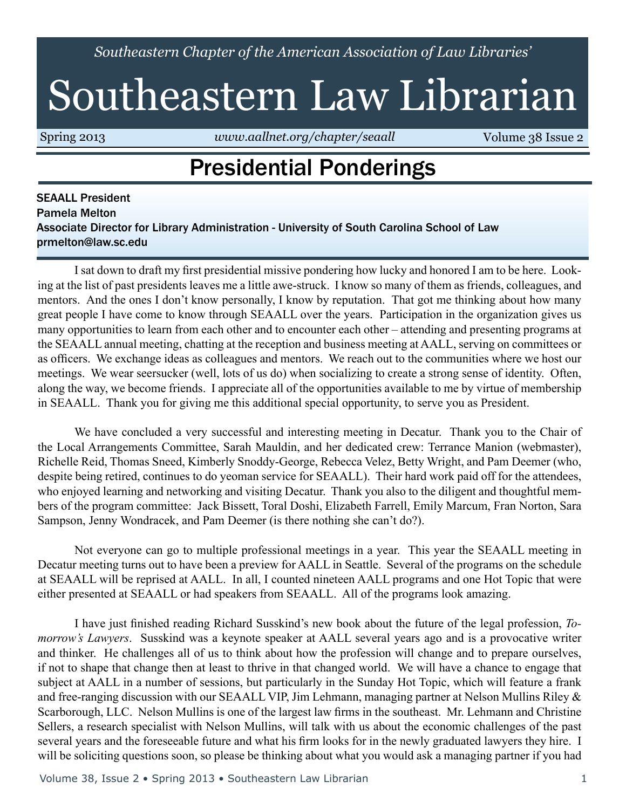*Southeastern Chapter of the American Association of Law Libraries'*

# Southeastern Law Librarian

Spring 2013 *<www.aallnet.org/chapter/seaall>* **Volume 38 Issue 2** 

### Presidential Ponderings

SEAALL President Pamela Melton Associate Director for Library Administration - University of South Carolina School of Law prmelton@law.sc.edu

 I sat down to draft my first presidential missive pondering how lucky and honored I am to be here. Looking at the list of past presidents leaves me a little awe-struck. I know so many of them as friends, colleagues, and mentors. And the ones I don't know personally, I know by reputation. That got me thinking about how many great people I have come to know through SEAALL over the years. Participation in the organization gives us many opportunities to learn from each other and to encounter each other – attending and presenting programs at the SEAALL annual meeting, chatting at the reception and business meeting at AALL, serving on committees or as officers. We exchange ideas as colleagues and mentors. We reach out to the communities where we host our meetings. We wear seersucker (well, lots of us do) when socializing to create a strong sense of identity. Often, along the way, we become friends. I appreciate all of the opportunities available to me by virtue of membership in SEAALL. Thank you for giving me this additional special opportunity, to serve you as President.

 We have concluded a very successful and interesting meeting in Decatur. Thank you to the Chair of the Local Arrangements Committee, Sarah Mauldin, and her dedicated crew: Terrance Manion (webmaster), Richelle Reid, Thomas Sneed, Kimberly Snoddy-George, Rebecca Velez, Betty Wright, and Pam Deemer (who, despite being retired, continues to do yeoman service for SEAALL). Their hard work paid off for the attendees, who enjoyed learning and networking and visiting Decatur. Thank you also to the diligent and thoughtful members of the program committee: Jack Bissett, Toral Doshi, Elizabeth Farrell, Emily Marcum, Fran Norton, Sara Sampson, Jenny Wondracek, and Pam Deemer (is there nothing she can't do?).

 Not everyone can go to multiple professional meetings in a year. This year the SEAALL meeting in Decatur meeting turns out to have been a preview for AALL in Seattle. Several of the programs on the schedule at SEAALL will be reprised at AALL. In all, I counted nineteen AALL programs and one Hot Topic that were either presented at SEAALL or had speakers from SEAALL. All of the programs look amazing.

 I have just finished reading Richard Susskind's new book about the future of the legal profession, *Tomorrow's Lawyers*. Susskind was a keynote speaker at AALL several years ago and is a provocative writer and thinker. He challenges all of us to think about how the profession will change and to prepare ourselves, if not to shape that change then at least to thrive in that changed world. We will have a chance to engage that subject at AALL in a number of sessions, but particularly in the Sunday Hot Topic, which will feature a frank and free-ranging discussion with our SEAALL VIP, Jim Lehmann, managing partner at Nelson Mullins Riley & Scarborough, LLC. Nelson Mullins is one of the largest law firms in the southeast. Mr. Lehmann and Christine Sellers, a research specialist with Nelson Mullins, will talk with us about the economic challenges of the past several years and the foreseeable future and what his firm looks for in the newly graduated lawyers they hire. I will be soliciting questions soon, so please be thinking about what you would ask a managing partner if you had

Volume 38, Issue 2 • Spring 2013 • Southeastern Law Librarian 1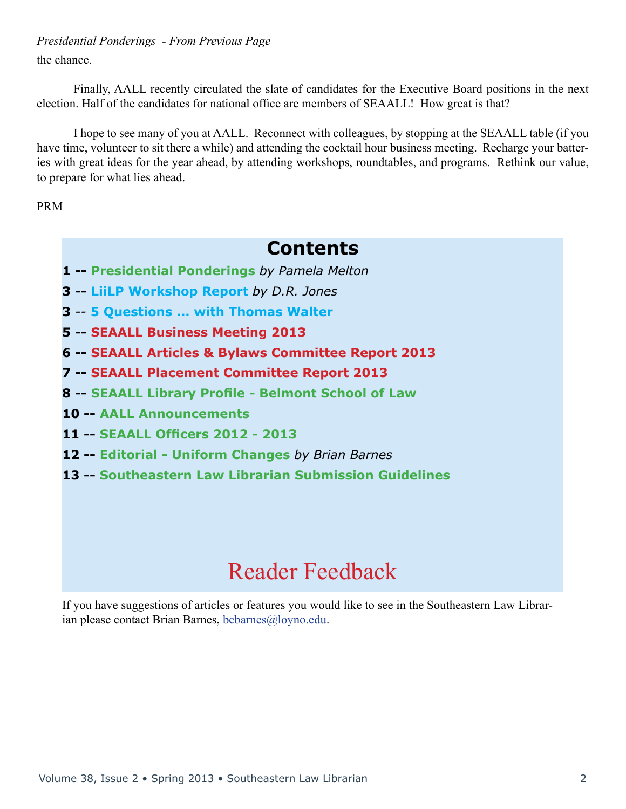### the chance. *Presidential Ponderings - From Previous Page*

 Finally, AALL recently circulated the slate of candidates for the Executive Board positions in the next election. Half of the candidates for national office are members of SEAALL! How great is that?

 I hope to see many of you at AALL. Reconnect with colleagues, by stopping at the SEAALL table (if you have time, volunteer to sit there a while) and attending the cocktail hour business meeting. Recharge your batteries with great ideas for the year ahead, by attending workshops, roundtables, and programs. Rethink our value, to prepare for what lies ahead.

PRM

### **Contents**

- **1 -- Presidential Ponderings** *by Pamela Melton*
- **3 -- LiiLP Workshop Report** *by D.R. Jones*
- **3** *--* **5 Questions ... with Thomas Walter**
- **5 -- SEAALL Business Meeting 2013**
- **6 -- SEAALL Articles & Bylaws Committee Report 2013**
- **7 -- SEAALL Placement Committee Report 2013**
- **8 -- SEAALL Library Profile Belmont School of Law**
- **10 -- AALL Announcements**
- **11 -- SEAALL Officers 2012 2013**
- **12 -- Editorial Uniform Changes** *by Brian Barnes*
- **13 -- Southeastern Law Librarian Submission Guidelines**

# Reader Feedback

If you have suggestions of articles or features you would like to see in the Southeastern Law Librarian please contact Brian Barnes, [bcbarnes@loyno.edu](mailto:bcbarnes%40loyno.edu?subject=).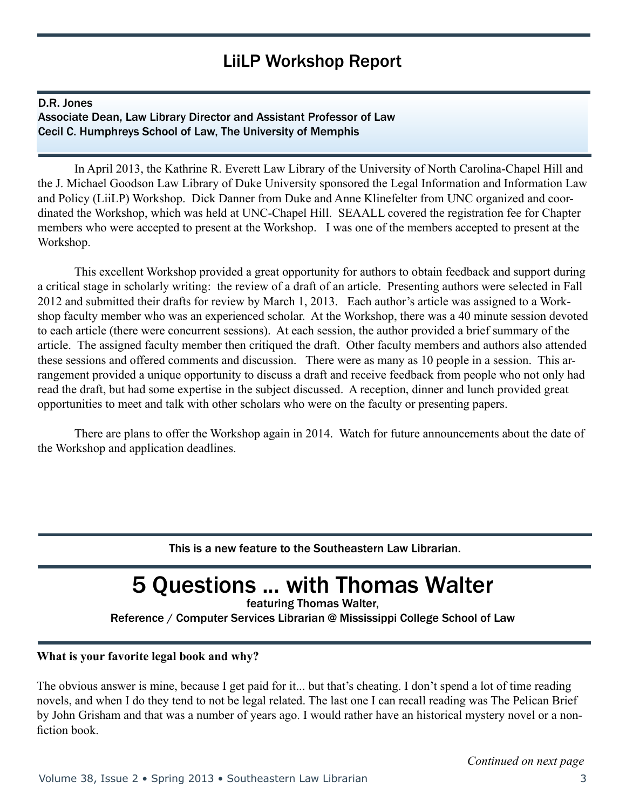### LiiLP Workshop Report

#### D.R. Jones

Associate Dean, Law Library Director and Assistant Professor of Law Cecil C. Humphreys School of Law, The University of Memphis

 In April 2013, the Kathrine R. Everett Law Library of the University of North Carolina-Chapel Hill and the J. Michael Goodson Law Library of Duke University sponsored the Legal Information and Information Law and Policy (LiiLP) Workshop. Dick Danner from Duke and Anne Klinefelter from UNC organized and coordinated the Workshop, which was held at UNC-Chapel Hill. SEAALL covered the registration fee for Chapter members who were accepted to present at the Workshop. I was one of the members accepted to present at the Workshop.

 This excellent Workshop provided a great opportunity for authors to obtain feedback and support during a critical stage in scholarly writing: the review of a draft of an article. Presenting authors were selected in Fall 2012 and submitted their drafts for review by March 1, 2013. Each author's article was assigned to a Workshop faculty member who was an experienced scholar. At the Workshop, there was a 40 minute session devoted to each article (there were concurrent sessions). At each session, the author provided a brief summary of the article. The assigned faculty member then critiqued the draft. Other faculty members and authors also attended these sessions and offered comments and discussion. There were as many as 10 people in a session. This arrangement provided a unique opportunity to discuss a draft and receive feedback from people who not only had read the draft, but had some expertise in the subject discussed. A reception, dinner and lunch provided great opportunities to meet and talk with other scholars who were on the faculty or presenting papers.

 There are plans to offer the Workshop again in 2014. Watch for future announcements about the date of the Workshop and application deadlines.

This is a new feature to the Southeastern Law Librarian.

# 5 Questions ... with Thomas Walter

featuring Thomas Walter,

Reference / Computer Services Librarian @ Mississippi College School of Law

#### **What is your favorite legal book and why?**

The obvious answer is mine, because I get paid for it... but that's cheating. I don't spend a lot of time reading novels, and when I do they tend to not be legal related. The last one I can recall reading was The Pelican Brief by John Grisham and that was a number of years ago. I would rather have an historical mystery novel or a nonfiction book.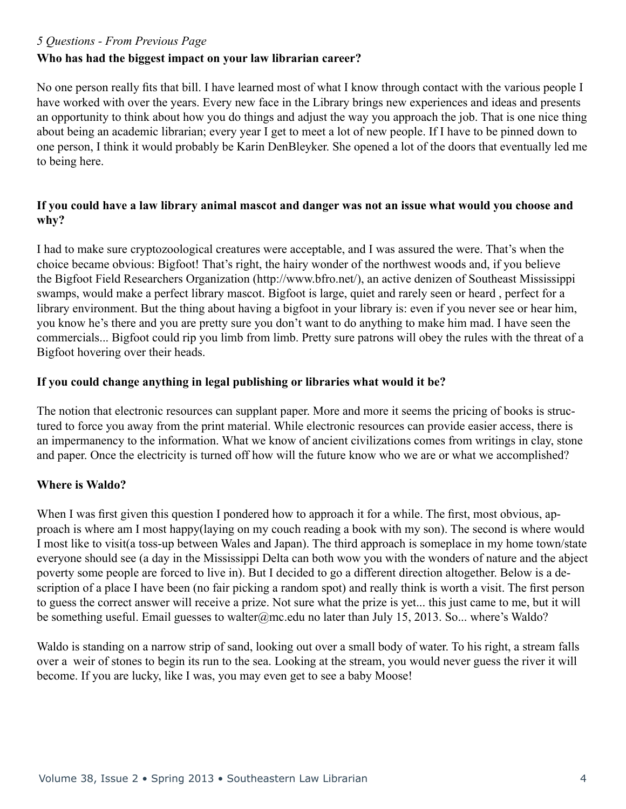#### *5 Questions - From Previous Page*

### **Who has had the biggest impact on your law librarian career?**

No one person really fits that bill. I have learned most of what I know through contact with the various people I have worked with over the years. Every new face in the Library brings new experiences and ideas and presents an opportunity to think about how you do things and adjust the way you approach the job. That is one nice thing about being an academic librarian; every year I get to meet a lot of new people. If I have to be pinned down to one person, I think it would probably be Karin DenBleyker. She opened a lot of the doors that eventually led me to being here.

### **If you could have a law library animal mascot and danger was not an issue what would you choose and why?**

I had to make sure cryptozoological creatures were acceptable, and I was assured the were. That's when the choice became obvious: Bigfoot! That's right, the hairy wonder of the northwest woods and, if you believe the Bigfoot Field Researchers Organization (http://www.bfro.net/), an active denizen of Southeast Mississippi swamps, would make a perfect library mascot. Bigfoot is large, quiet and rarely seen or heard , perfect for a library environment. But the thing about having a bigfoot in your library is: even if you never see or hear him, you know he's there and you are pretty sure you don't want to do anything to make him mad. I have seen the commercials... Bigfoot could rip you limb from limb. Pretty sure patrons will obey the rules with the threat of a Bigfoot hovering over their heads.

### **If you could change anything in legal publishing or libraries what would it be?**

The notion that electronic resources can supplant paper. More and more it seems the pricing of books is structured to force you away from the print material. While electronic resources can provide easier access, there is an impermanency to the information. What we know of ancient civilizations comes from writings in clay, stone and paper. Once the electricity is turned off how will the future know who we are or what we accomplished?

### **Where is Waldo?**

When I was first given this question I pondered how to approach it for a while. The first, most obvious, approach is where am I most happy(laying on my couch reading a book with my son). The second is where would I most like to visit(a toss-up between Wales and Japan). The third approach is someplace in my home town/state everyone should see (a day in the Mississippi Delta can both wow you with the wonders of nature and the abject poverty some people are forced to live in). But I decided to go a different direction altogether. Below is a description of a place I have been (no fair picking a random spot) and really think is worth a visit. The first person to guess the correct answer will receive a prize. Not sure what the prize is yet... this just came to me, but it will be something useful. Email guesses to walter@mc.edu no later than July 15, 2013. So... where's Waldo?

Waldo is standing on a narrow strip of sand, looking out over a small body of water. To his right, a stream falls over a weir of stones to begin its run to the sea. Looking at the stream, you would never guess the river it will become. If you are lucky, like I was, you may even get to see a baby Moose!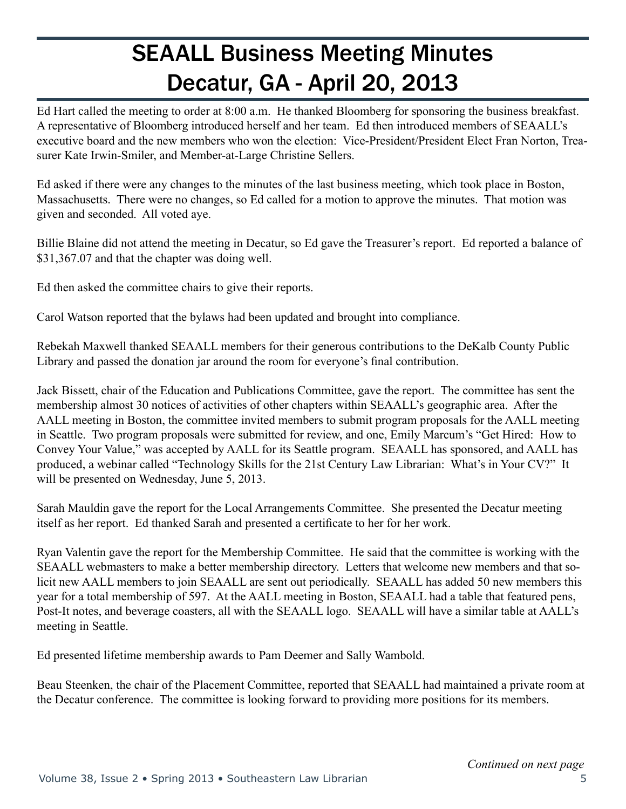# SEAALL Business Meeting Minutes Decatur, GA - April 20, 2013

Ed Hart called the meeting to order at 8:00 a.m. He thanked Bloomberg for sponsoring the business breakfast. A representative of Bloomberg introduced herself and her team. Ed then introduced members of SEAALL's executive board and the new members who won the election: Vice-President/President Elect Fran Norton, Treasurer Kate Irwin-Smiler, and Member-at-Large Christine Sellers.

Ed asked if there were any changes to the minutes of the last business meeting, which took place in Boston, Massachusetts. There were no changes, so Ed called for a motion to approve the minutes. That motion was given and seconded. All voted aye.

Billie Blaine did not attend the meeting in Decatur, so Ed gave the Treasurer's report. Ed reported a balance of \$31,367.07 and that the chapter was doing well.

Ed then asked the committee chairs to give their reports.

Carol Watson reported that the bylaws had been updated and brought into compliance.

Rebekah Maxwell thanked SEAALL members for their generous contributions to the DeKalb County Public Library and passed the donation jar around the room for everyone's final contribution.

Jack Bissett, chair of the Education and Publications Committee, gave the report. The committee has sent the membership almost 30 notices of activities of other chapters within SEAALL's geographic area. After the AALL meeting in Boston, the committee invited members to submit program proposals for the AALL meeting in Seattle. Two program proposals were submitted for review, and one, Emily Marcum's "Get Hired: How to Convey Your Value," was accepted by AALL for its Seattle program. SEAALL has sponsored, and AALL has produced, a webinar called "Technology Skills for the 21st Century Law Librarian: What's in Your CV?" It will be presented on Wednesday, June 5, 2013.

Sarah Mauldin gave the report for the Local Arrangements Committee. She presented the Decatur meeting itself as her report. Ed thanked Sarah and presented a certificate to her for her work.

Ryan Valentin gave the report for the Membership Committee. He said that the committee is working with the SEAALL webmasters to make a better membership directory. Letters that welcome new members and that solicit new AALL members to join SEAALL are sent out periodically. SEAALL has added 50 new members this year for a total membership of 597. At the AALL meeting in Boston, SEAALL had a table that featured pens, Post-It notes, and beverage coasters, all with the SEAALL logo. SEAALL will have a similar table at AALL's meeting in Seattle.

Ed presented lifetime membership awards to Pam Deemer and Sally Wambold.

Beau Steenken, the chair of the Placement Committee, reported that SEAALL had maintained a private room at the Decatur conference. The committee is looking forward to providing more positions for its members.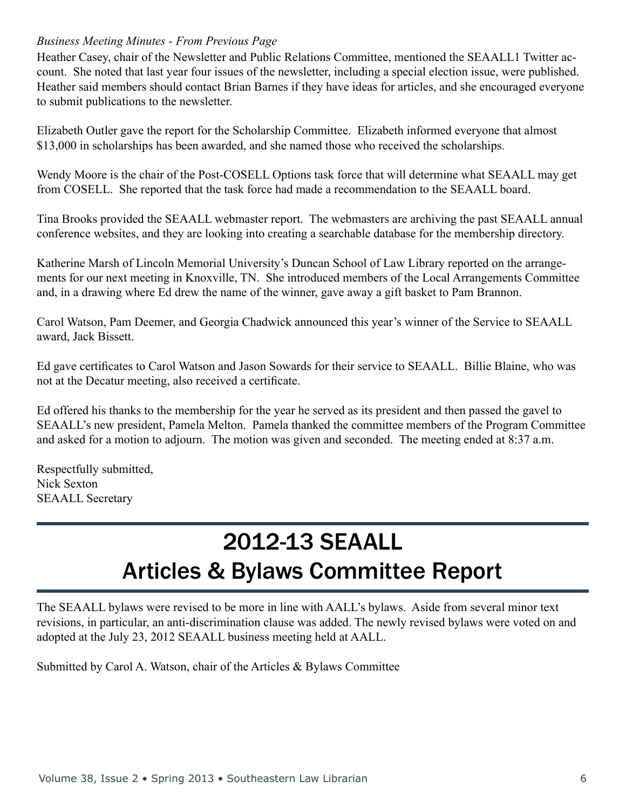#### *Business Meeting Minutes - From Previous Page*

Heather Casey, chair of the Newsletter and Public Relations Committee, mentioned the SEAALL1 Twitter account. She noted that last year four issues of the newsletter, including a special election issue, were published. Heather said members should contact Brian Barnes if they have ideas for articles, and she encouraged everyone to submit publications to the newsletter.

Elizabeth Outler gave the report for the Scholarship Committee. Elizabeth informed everyone that almost \$13,000 in scholarships has been awarded, and she named those who received the scholarships.

Wendy Moore is the chair of the Post-COSELL Options task force that will determine what SEAALL may get from COSELL. She reported that the task force had made a recommendation to the SEAALL board.

Tina Brooks provided the SEAALL webmaster report. The webmasters are archiving the past SEAALL annual conference websites, and they are looking into creating a searchable database for the membership directory.

Katherine Marsh of Lincoln Memorial University's Duncan School of Law Library reported on the arrangements for our next meeting in Knoxville, TN. She introduced members of the Local Arrangements Committee and, in a drawing where Ed drew the name of the winner, gave away a gift basket to Pam Brannon.

Carol Watson, Pam Deemer, and Georgia Chadwick announced this year's winner of the Service to SEAALL award, Jack Bissett.

Ed gave certificates to Carol Watson and Jason Sowards for their service to SEAALL. Billie Blaine, who was not at the Decatur meeting, also received a certificate.

Ed offered his thanks to the membership for the year he served as its president and then passed the gavel to SEAALL's new president, Pamela Melton. Pamela thanked the committee members of the Program Committee and asked for a motion to adjourn. The motion was given and seconded. The meeting ended at 8:37 a.m.

Respectfully submitted, Nick Sexton SEAALL Secretary

# 2012-13 SEAALL Articles & Bylaws Committee Report

The SEAALL bylaws were revised to be more in line with AALL's bylaws. Aside from several minor text revisions, in particular, an anti-discrimination clause was added. The newly revised bylaws were voted on and adopted at the July 23, 2012 SEAALL business meeting held at AALL.

Submitted by Carol A. Watson, chair of the Articles & Bylaws Committee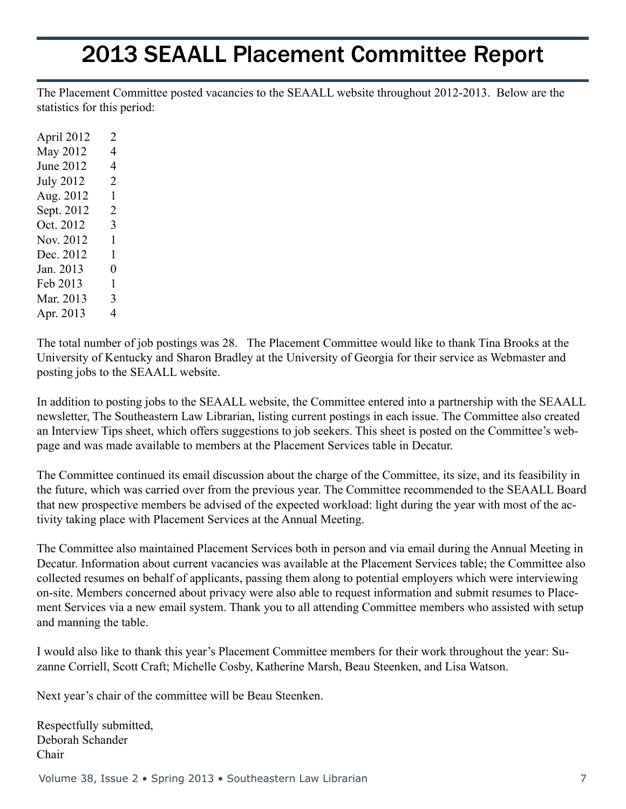## 2013 SEAALL Placement Committee Report

The Placement Committee posted vacancies to the SEAALL website throughout 2012-2013. Below are the statistics for this period:

The total number of job postings was 28. The Placement Committee would like to thank Tina Brooks at the University of Kentucky and Sharon Bradley at the University of Georgia for their service as Webmaster and posting jobs to the SEAALL website.

In addition to posting jobs to the SEAALL website, the Committee entered into a partnership with the SEAALL newsletter, The Southeastern Law Librarian, listing current postings in each issue. The Committee also created an Interview Tips sheet, which offers suggestions to job seekers. This sheet is posted on the Committee's webpage and was made available to members at the Placement Services table in Decatur.

The Committee continued its email discussion about the charge of the Committee, its size, and its feasibility in the future, which was carried over from the previous year. The Committee recommended to the SEAALL Board that new prospective members be advised of the expected workload: light during the year with most of the activity taking place with Placement Services at the Annual Meeting.

The Committee also maintained Placement Services both in person and via email during the Annual Meeting in Decatur. Information about current vacancies was available at the Placement Services table; the Committee also collected resumes on behalf of applicants, passing them along to potential employers which were interviewing on-site. Members concerned about privacy were also able to request information and submit resumes to Placement Services via a new email system. Thank you to all attending Committee members who assisted with setup and manning the table.

I would also like to thank this year's Placement Committee members for their work throughout the year: Suzanne Corriell, Scott Craft; Michelle Cosby, Katherine Marsh, Beau Steenken, and Lisa Watson.

Next year's chair of the committee will be Beau Steenken.

Respectfully submitted, Deborah Schander Chair

Volume 38, Issue 2 • Spring 2013 • Southeastern Law Librarian 7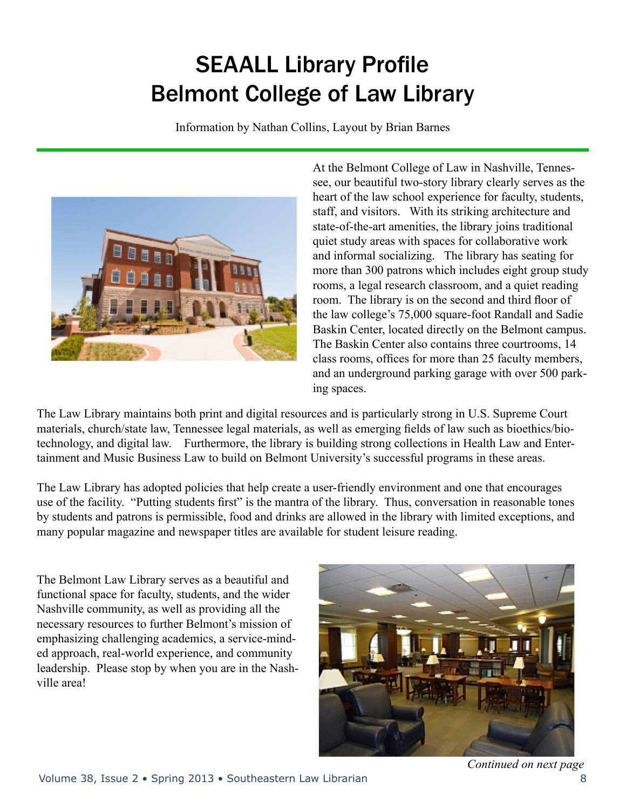# SEAALL Library Profile Belmont College of Law Library

Information by Nathan Collins, Layout by Brian Barnes



At the Belmont College of Law in Nashville, Tennessee, our beautiful two-story library clearly serves as the heart of the law school experience for faculty, students, staff, and visitors. With its striking architecture and state-of-the-art amenities, the library joins traditional quiet study areas with spaces for collaborative work and informal socializing. The library has seating for more than 300 patrons which includes eight group study rooms, a legal research classroom, and a quiet reading room. The library is on the second and third floor of the law college's 75,000 square-foot Randall and Sadie Baskin Center, located directly on the Belmont campus. The Baskin Center also contains three courtrooms, 14 class rooms, offices for more than 25 faculty members, and an underground parking garage with over 500 parking spaces.

The Law Library maintains both print and digital resources and is particularly strong in U.S. Supreme Court materials, church/state law, Tennessee legal materials, as well as emerging fields of law such as bioethics/biotechnology, and digital law. Furthermore, the library is building strong collections in Health Law and Entertainment and Music Business Law to build on Belmont University's successful programs in these areas.

The Law Library has adopted policies that help create a user-friendly environment and one that encourages use of the facility. "Putting students first" is the mantra of the library. Thus, conversation in reasonable tones by students and patrons is permissible, food and drinks are allowed in the library with limited exceptions, and many popular magazine and newspaper titles are available for student leisure reading.

The Belmont Law Library serves as a beautiful and functional space for faculty, students, and the wider Nashville community, as well as providing all the necessary resources to further Belmont's mission of emphasizing challenging academics, a service-minded approach, real-world experience, and community leadership. Please stop by when you are in the Nashville area!

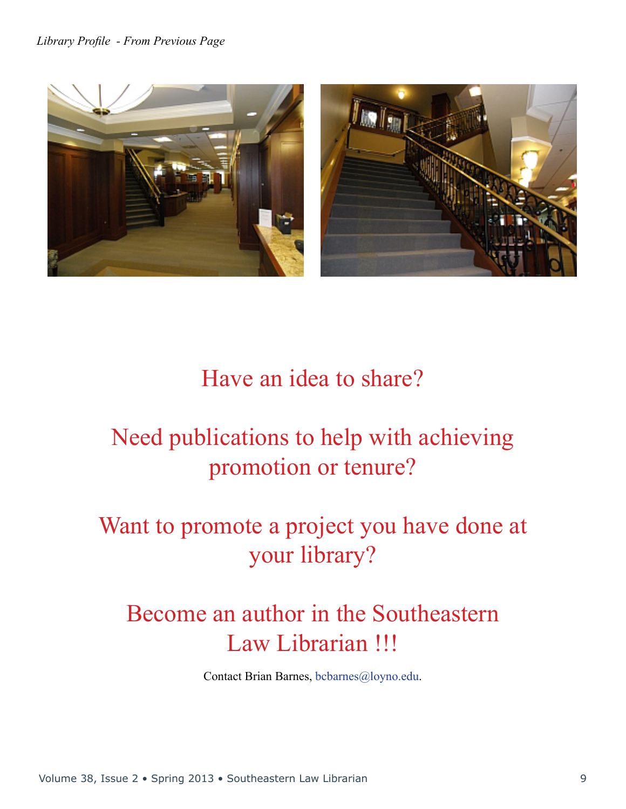

# Have an idea to share?

# Need publications to help with achieving promotion or tenure?

# Want to promote a project you have done at your library?

# Become an author in the Southeastern Law Librarian !!!

Contact Brian Barnes, [bcbarnes@loyno.edu.](mailto:bcbarnes%40loyno.edu?subject=)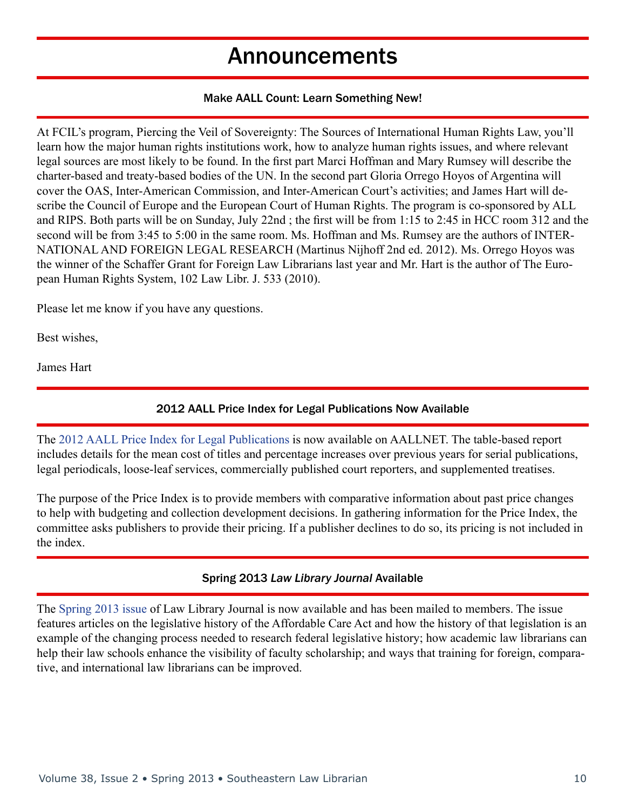### Announcements

#### Make AALL Count: Learn Something New!

At FCIL's program, Piercing the Veil of Sovereignty: The Sources of International Human Rights Law, you'll learn how the major human rights institutions work, how to analyze human rights issues, and where relevant legal sources are most likely to be found. In the first part Marci Hoffman and Mary Rumsey will describe the charter-based and treaty-based bodies of the UN. In the second part Gloria Orrego Hoyos of Argentina will cover the OAS, Inter-American Commission, and Inter-American Court's activities; and James Hart will describe the Council of Europe and the European Court of Human Rights. The program is co-sponsored by ALL and RIPS. Both parts will be on Sunday, July 22nd ; the first will be from 1:15 to 2:45 in HCC room 312 and the second will be from 3:45 to 5:00 in the same room. Ms. Hoffman and Ms. Rumsey are the authors of INTER-NATIONAL AND FOREIGN LEGAL RESEARCH (Martinus Nijhoff 2nd ed. 2012). Ms. Orrego Hoyos was the winner of the Schaffer Grant for Foreign Law Librarians last year and Mr. Hart is the author of The European Human Rights System, 102 Law Libr. J. 533 (2010).

Please let me know if you have any questions.

Best wishes,

James Hart

### 2012 AALL Price Index for Legal Publications Now Available

The 2012 AALL Price Index for Legal [Publications](http://www.aallnet.org/main-menu/Publications/products/pub-price/Price-Index-2012.html) is now available on AALLNET. The table-based report includes details for the mean cost of titles and percentage increases over previous years for serial publications, legal periodicals, loose-leaf services, commercially published court reporters, and supplemented treatises.

The purpose of the Price Index is to provide members with comparative information about past price changes to help with budgeting and collection development decisions. In gathering information for the Price Index, the committee asks publishers to provide their pricing. If a publisher declines to do so, its pricing is not included in the index.

### Spring 2013 *Law Library Journal* Available

The [Spring](http://www.aallnet.org/main-menu/Publications/llj/Vol-105/no-2) 2013 issue of Law Library Journal is now available and has been mailed to members. The issue features articles on the legislative history of the Affordable Care Act and how the history of that legislation is an example of the changing process needed to research federal legislative history; how academic law librarians can help their law schools enhance the visibility of faculty scholarship; and ways that training for foreign, comparative, and international law librarians can be improved.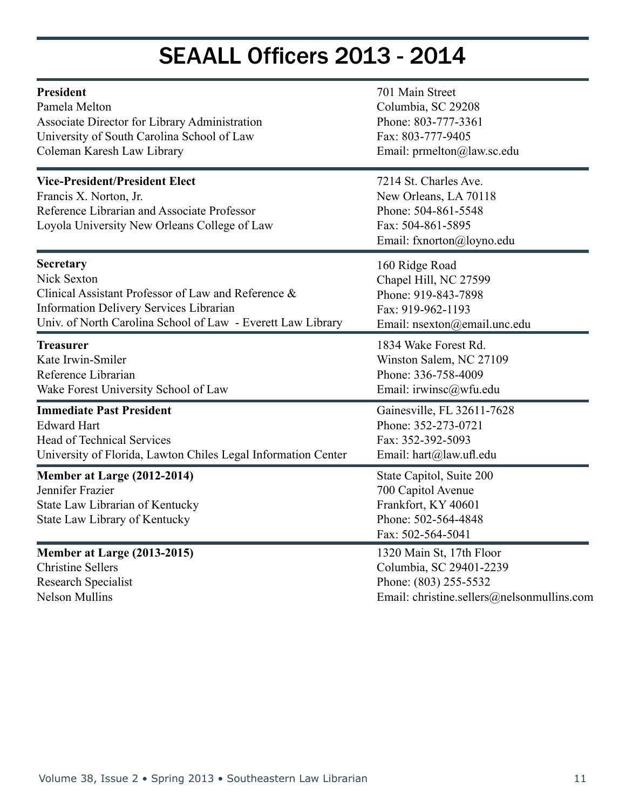# SEAALL Officers 2013 - 2014

| <b>President</b>                                                                                                                                               | 701 Main Street                                                                                                         |
|----------------------------------------------------------------------------------------------------------------------------------------------------------------|-------------------------------------------------------------------------------------------------------------------------|
| Pamela Melton                                                                                                                                                  | Columbia, SC 29208                                                                                                      |
| Associate Director for Library Administration                                                                                                                  | Phone: 803-777-3361                                                                                                     |
| University of South Carolina School of Law                                                                                                                     | Fax: 803-777-9405                                                                                                       |
| Coleman Karesh Law Library                                                                                                                                     | Email: prmelton@law.sc.edu                                                                                              |
| <b>Vice-President/President Elect</b><br>Francis X. Norton, Jr.<br>Reference Librarian and Associate Professor<br>Loyola University New Orleans College of Law | 7214 St. Charles Ave.<br>New Orleans, LA 70118<br>Phone: 504-861-5548<br>Fax: 504-861-5895<br>Email: fxnorton@loyno.edu |
| <b>Secretary</b>                                                                                                                                               | 160 Ridge Road                                                                                                          |
| Nick Sexton                                                                                                                                                    | Chapel Hill, NC 27599                                                                                                   |
| Clinical Assistant Professor of Law and Reference &                                                                                                            | Phone: 919-843-7898                                                                                                     |
| Information Delivery Services Librarian                                                                                                                        | Fax: 919-962-1193                                                                                                       |
| Univ. of North Carolina School of Law - Everett Law Library                                                                                                    | Email: nsexton@email.unc.edu                                                                                            |
| <b>Treasurer</b>                                                                                                                                               | 1834 Wake Forest Rd.                                                                                                    |
| Kate Irwin-Smiler                                                                                                                                              | Winston Salem, NC 27109                                                                                                 |
| Reference Librarian                                                                                                                                            | Phone: 336-758-4009                                                                                                     |
| Wake Forest University School of Law                                                                                                                           | Email: irwinsc@wfu.edu                                                                                                  |
| <b>Immediate Past President</b>                                                                                                                                | Gainesville, FL 32611-7628                                                                                              |
| <b>Edward Hart</b>                                                                                                                                             | Phone: 352-273-0721                                                                                                     |
| <b>Head of Technical Services</b>                                                                                                                              | Fax: 352-392-5093                                                                                                       |
| University of Florida, Lawton Chiles Legal Information Center                                                                                                  | Email: hart@law.ufl.edu                                                                                                 |
| Member at Large (2012-2014)<br>Jennifer Frazier<br>State Law Librarian of Kentucky<br>State Law Library of Kentucky                                            | State Capitol, Suite 200<br>700 Capitol Avenue<br>Frankfort, KY 40601<br>Phone: 502-564-4848<br>Fax: 502-564-5041       |
| Member at Large (2013-2015)                                                                                                                                    | 1320 Main St, 17th Floor                                                                                                |
| <b>Christine Sellers</b>                                                                                                                                       | Columbia, SC 29401-2239                                                                                                 |
| <b>Research Specialist</b>                                                                                                                                     | Phone: (803) 255-5532                                                                                                   |
| <b>Nelson Mullins</b>                                                                                                                                          | Email: christine.sellers@nelsonmullins.com                                                                              |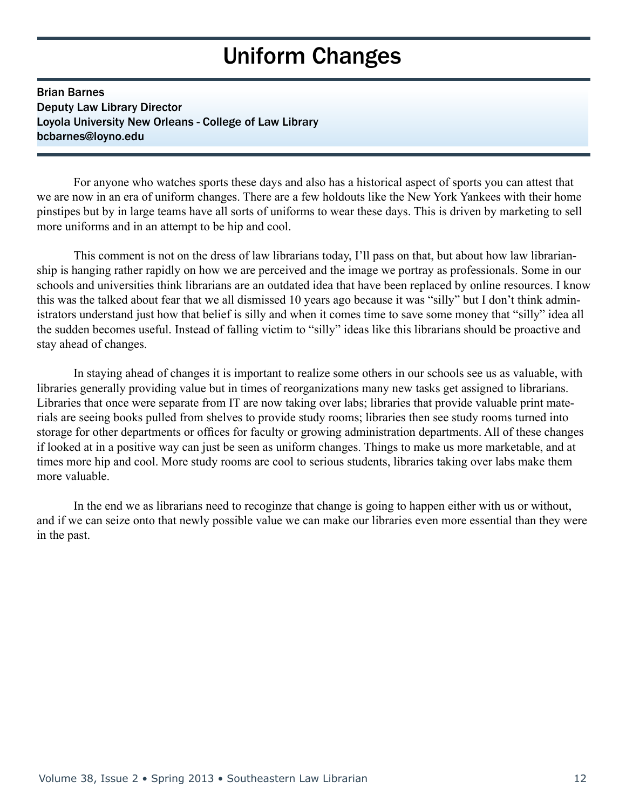# Uniform Changes

Brian Barnes Deputy Law Library Director Loyola University New Orleans - College of Law Library bcbarnes@loyno.edu

 For anyone who watches sports these days and also has a historical aspect of sports you can attest that we are now in an era of uniform changes. There are a few holdouts like the New York Yankees with their home pinstipes but by in large teams have all sorts of uniforms to wear these days. This is driven by marketing to sell more uniforms and in an attempt to be hip and cool.

 This comment is not on the dress of law librarians today, I'll pass on that, but about how law librarianship is hanging rather rapidly on how we are perceived and the image we portray as professionals. Some in our schools and universities think librarians are an outdated idea that have been replaced by online resources. I know this was the talked about fear that we all dismissed 10 years ago because it was "silly" but I don't think administrators understand just how that belief is silly and when it comes time to save some money that "silly" idea all the sudden becomes useful. Instead of falling victim to "silly" ideas like this librarians should be proactive and stay ahead of changes.

 In staying ahead of changes it is important to realize some others in our schools see us as valuable, with libraries generally providing value but in times of reorganizations many new tasks get assigned to librarians. Libraries that once were separate from IT are now taking over labs; libraries that provide valuable print materials are seeing books pulled from shelves to provide study rooms; libraries then see study rooms turned into storage for other departments or offices for faculty or growing administration departments. All of these changes if looked at in a positive way can just be seen as uniform changes. Things to make us more marketable, and at times more hip and cool. More study rooms are cool to serious students, libraries taking over labs make them more valuable.

 In the end we as librarians need to recoginze that change is going to happen either with us or without, and if we can seize onto that newly possible value we can make our libraries even more essential than they were in the past.